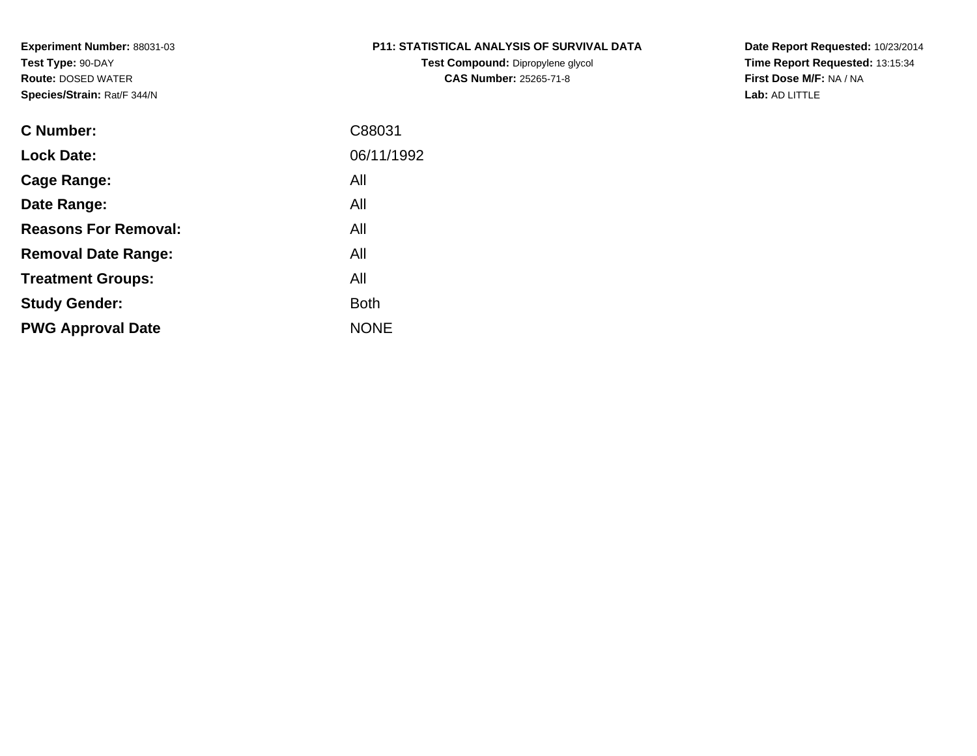# **P11: STATISTICAL ANALYSIS OF SURVIVAL DATA**

**Test Compound:** Dipropylene glycol **CAS Number:** 25265-71-8

**Date Report Requested:** 10/23/2014 **Time Report Requested:** 13:15:34**First Dose M/F:** NA / NA**Lab:** AD LITTLE

| C Number:                   | C88031      |
|-----------------------------|-------------|
| <b>Lock Date:</b>           | 06/11/1992  |
| Cage Range:                 | All         |
| Date Range:                 | All         |
| <b>Reasons For Removal:</b> | All         |
| <b>Removal Date Range:</b>  | All         |
| <b>Treatment Groups:</b>    | All         |
| <b>Study Gender:</b>        | Both        |
| <b>PWG Approval Date</b>    | <b>NONE</b> |
|                             |             |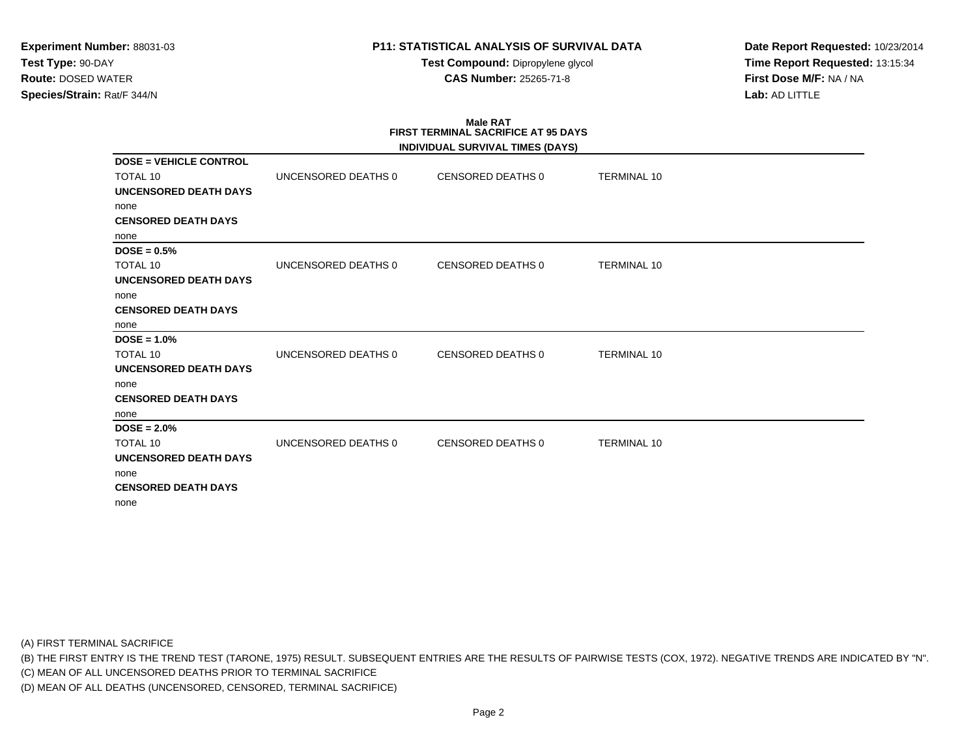# **P11: STATISTICAL ANALYSIS OF SURVIVAL DATA**

**Test Compound:** Dipropylene glycol **CAS Number:** 25265-71-8

**Date Report Requested:** 10/23/2014**Time Report Requested:** 13:15:34**First Dose M/F:** NA / NA**Lab:** AD LITTLE

### **Male RAT FIRST TERMINAL SACRIFICE AT 95 DAYSINDIVIDUAL SURVIVAL TIMES (DAYS)DOSE = VEHICLE CONTROL**TOTAL 10 UNCENSORED DEATHS 0 CENSORED DEATHS 0 TERMINAL 10 **UNCENSORED DEATH DAYS**none **CENSORED DEATH DAYS**none **DOSE = 0.5%**TOTAL 10 UNCENSORED DEATHS 0 CENSORED DEATHS 0 TERMINAL 10 **UNCENSORED DEATH DAYS**none **CENSORED DEATH DAYS**none **DOSE = 1.0%**TOTAL 10 UNCENSORED DEATHS 0 CENSORED DEATHS 0 TERMINAL 10 **UNCENSORED DEATH DAYS**none **CENSORED DEATH DAYS**none **DOSE = 2.0%**TOTAL 10 UNCENSORED DEATHS 0 CENSORED DEATHS 0 TERMINAL 10 **UNCENSORED DEATH DAYS**none **CENSORED DEATH DAYS**none

(A) FIRST TERMINAL SACRIFICE

(B) THE FIRST ENTRY IS THE TREND TEST (TARONE, 1975) RESULT. SUBSEQUENT ENTRIES ARE THE RESULTS OF PAIRWISE TESTS (COX, 1972). NEGATIVE TRENDS ARE INDICATED BY "N".

(C) MEAN OF ALL UNCENSORED DEATHS PRIOR TO TERMINAL SACRIFICE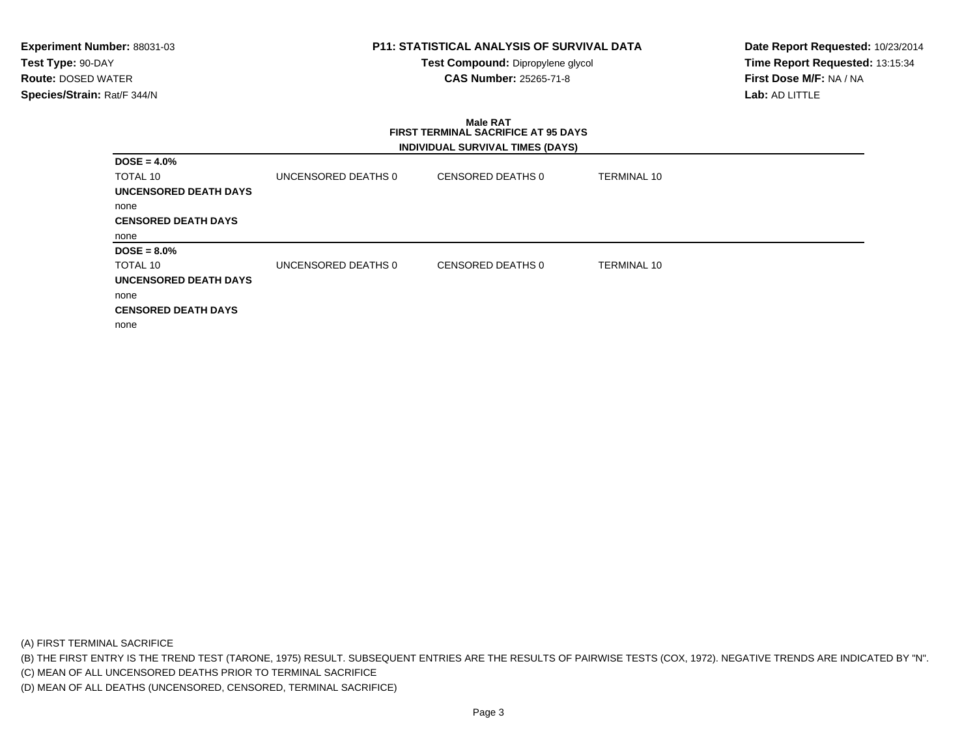# **P11: STATISTICAL ANALYSIS OF SURVIVAL DATA**

**Test Compound:** Dipropylene glycol **CAS Number:** 25265-71-8

**Date Report Requested:** 10/23/2014**Time Report Requested:** 13:15:34**First Dose M/F:** NA / NA**Lab:** AD LITTLE

#### **Male RAT FIRST TERMINAL SACRIFICE AT 95 DAYSINDIVIDUAL SURVIVAL TIMES (DAYS)**

| $DOSE = 4.0\%$               |                     |                   |                    |  |
|------------------------------|---------------------|-------------------|--------------------|--|
| TOTAL 10                     | UNCENSORED DEATHS 0 | CENSORED DEATHS 0 | TERMINAL 10        |  |
| UNCENSORED DEATH DAYS        |                     |                   |                    |  |
| none                         |                     |                   |                    |  |
| <b>CENSORED DEATH DAYS</b>   |                     |                   |                    |  |
| none                         |                     |                   |                    |  |
| $DOSE = 8.0\%$               |                     |                   |                    |  |
| TOTAL 10                     | UNCENSORED DEATHS 0 | CENSORED DEATHS 0 | <b>TERMINAL 10</b> |  |
| <b>UNCENSORED DEATH DAYS</b> |                     |                   |                    |  |
| none                         |                     |                   |                    |  |
| <b>CENSORED DEATH DAYS</b>   |                     |                   |                    |  |
| none                         |                     |                   |                    |  |

(A) FIRST TERMINAL SACRIFICE

(B) THE FIRST ENTRY IS THE TREND TEST (TARONE, 1975) RESULT. SUBSEQUENT ENTRIES ARE THE RESULTS OF PAIRWISE TESTS (COX, 1972). NEGATIVE TRENDS ARE INDICATED BY "N".

(C) MEAN OF ALL UNCENSORED DEATHS PRIOR TO TERMINAL SACRIFICE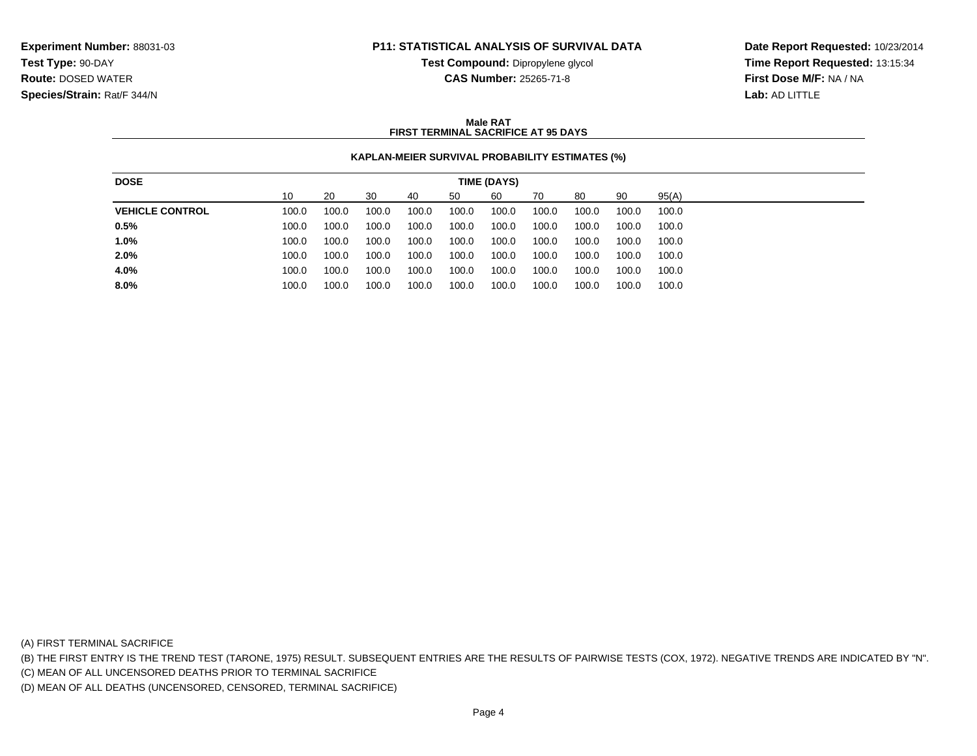### **P11: STATISTICAL ANALYSIS OF SURVIVAL DATA**

**Test Compound:** Dipropylene glycol **CAS Number:** 25265-71-8

**Date Report Requested:** 10/23/2014**Time Report Requested:** 13:15:34**First Dose M/F:** NA / NA**Lab:** AD LITTLE

#### **Male RATFIRST TERMINAL SACRIFICE AT 95 DAYS**

#### **KAPLAN-MEIER SURVIVAL PROBABILITY ESTIMATES (%)**

| <b>DOSE</b>            |       |       |       |       |       | TIME (DAYS) |       |       |       |       |
|------------------------|-------|-------|-------|-------|-------|-------------|-------|-------|-------|-------|
|                        | 10    | 20    | 30    | 40    | 50    | 60          | 70    | 80    | 90    | 95(A) |
| <b>VEHICLE CONTROL</b> | 100.0 | 100.0 | 100.0 | 100.0 | 100.0 | 100.0       | 100.0 | 100.0 | 100.0 | 100.0 |
| 0.5%                   | 100.0 | 100.0 | 100.0 | 100.0 | 100.0 | 100.0       | 100.0 | 100.0 | 100.0 | 100.0 |
| 1.0%                   | 100.0 | 100.0 | 100.0 | 100.0 | 100.0 | 100.0       | 100.0 | 100.0 | 100.0 | 100.0 |
| 2.0%                   | 100.0 | 100.0 | 100.0 | 100.0 | 100.0 | 100.0       | 100.0 | 100.0 | 100.0 | 100.0 |
| 4.0%                   | 100.0 | 100.0 | 100.0 | 100.0 | 100.0 | 100.0       | 100.0 | 100.0 | 100.0 | 100.0 |
| 8.0%                   | 100.0 | 100.0 | 100.0 | 100.0 | 100.0 | 100.0       | 100.0 | 100.0 | 100.0 | 100.0 |
|                        |       |       |       |       |       |             |       |       |       |       |

(A) FIRST TERMINAL SACRIFICE

(B) THE FIRST ENTRY IS THE TREND TEST (TARONE, 1975) RESULT. SUBSEQUENT ENTRIES ARE THE RESULTS OF PAIRWISE TESTS (COX, 1972). NEGATIVE TRENDS ARE INDICATED BY "N".

(C) MEAN OF ALL UNCENSORED DEATHS PRIOR TO TERMINAL SACRIFICE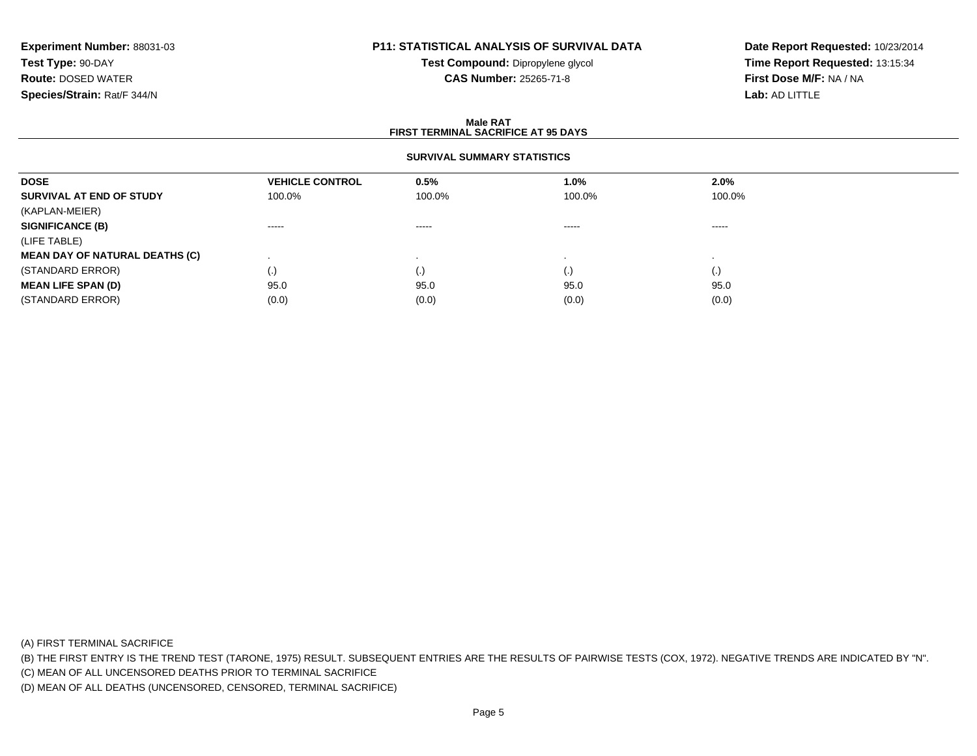# **P11: STATISTICAL ANALYSIS OF SURVIVAL DATA**

**Test Compound:** Dipropylene glycol **CAS Number:** 25265-71-8

**Date Report Requested:** 10/23/2014**Time Report Requested:** 13:15:34**First Dose M/F:** NA / NA**Lab:** AD LITTLE

#### **Male RAT FIRST TERMINAL SACRIFICE AT 95 DAYSSURVIVAL SUMMARY STATISTICSDOSEVEHICLE CONTROL 0.5%**<br>100.0% 100.0% **1.0% 2.0% SURVIVAL AT END OF STUDY** 100.0% 100.0% 100.0% 100.0% (KAPLAN-MEIER)**SIGNIFICANCE (B)** ----- ----- ----- ----- (LIFE TABLE) **MEAN DAY OF NATURAL DEATHS (C)** . . . . (STANDARD ERROR) (.) (.) (.) (.) **MEAN LIFE SPAN (D)** 95.00 95.0 95.0 95.0 95.0 95.0 (STANDARD ERROR) $(0.0)$   $(0.0)$   $(0.0)$   $(0.0)$   $(0.0)$   $(0.0)$   $(0.0)$   $(0.0)$

(A) FIRST TERMINAL SACRIFICE

(B) THE FIRST ENTRY IS THE TREND TEST (TARONE, 1975) RESULT. SUBSEQUENT ENTRIES ARE THE RESULTS OF PAIRWISE TESTS (COX, 1972). NEGATIVE TRENDS ARE INDICATED BY "N".

(C) MEAN OF ALL UNCENSORED DEATHS PRIOR TO TERMINAL SACRIFICE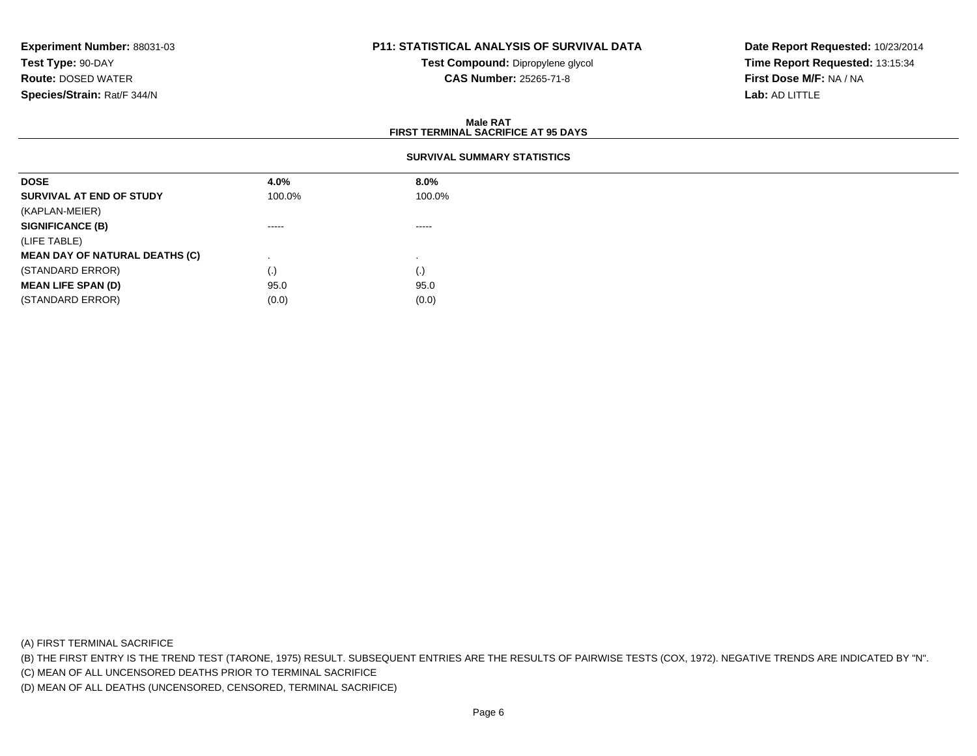# **P11: STATISTICAL ANALYSIS OF SURVIVAL DATA**

**Test Compound:** Dipropylene glycol **CAS Number:** 25265-71-8

**Date Report Requested:** 10/23/2014**Time Report Requested:** 13:15:34**First Dose M/F:** NA / NA**Lab:** AD LITTLE

#### **Male RATFIRST TERMINAL SACRIFICE AT 95 DAYS**

| <b>DOSE</b>                           | 4.0%     | $8.0\%$ |
|---------------------------------------|----------|---------|
| SURVIVAL AT END OF STUDY              | 100.0%   | 100.0%  |
| (KAPLAN-MEIER)                        |          |         |
| <b>SIGNIFICANCE (B)</b>               | $\cdots$ | -----   |
| (LIFE TABLE)                          |          |         |
| <b>MEAN DAY OF NATURAL DEATHS (C)</b> |          |         |
| (STANDARD ERROR)                      | $\cdot$  | (.)     |
| <b>MEAN LIFE SPAN (D)</b>             | 95.0     | 95.0    |
| (STANDARD ERROR)                      | (0.0)    | (0.0)   |

(A) FIRST TERMINAL SACRIFICE

(B) THE FIRST ENTRY IS THE TREND TEST (TARONE, 1975) RESULT. SUBSEQUENT ENTRIES ARE THE RESULTS OF PAIRWISE TESTS (COX, 1972). NEGATIVE TRENDS ARE INDICATED BY "N".

(C) MEAN OF ALL UNCENSORED DEATHS PRIOR TO TERMINAL SACRIFICE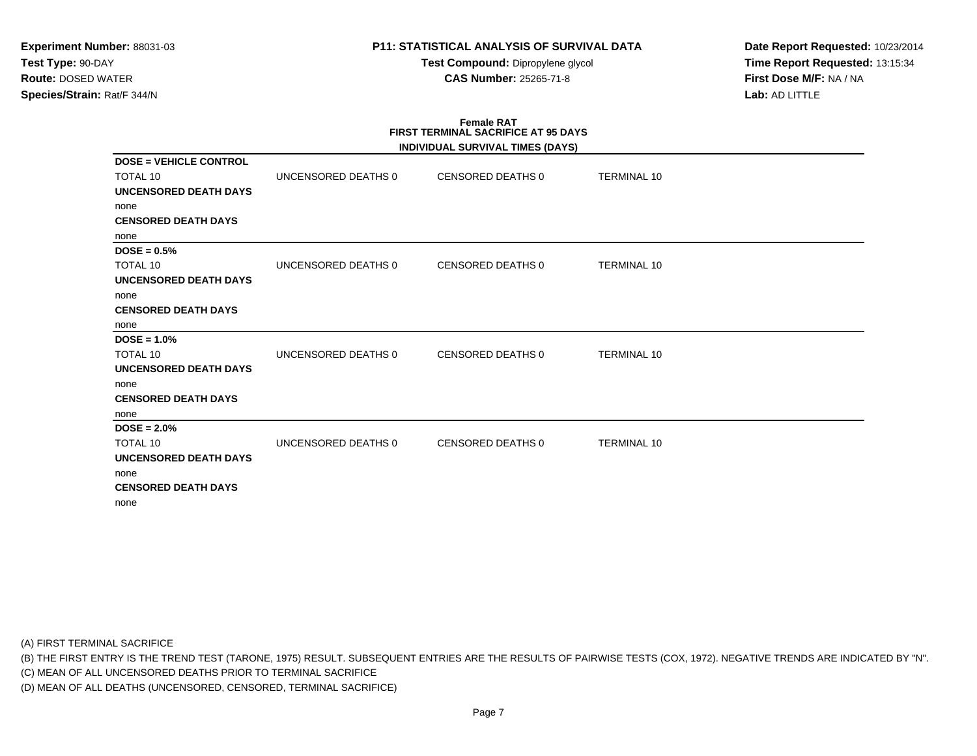# **P11: STATISTICAL ANALYSIS OF SURVIVAL DATA**

**Test Compound:** Dipropylene glycol **CAS Number:** 25265-71-8

**Date Report Requested:** 10/23/2014**Time Report Requested:** 13:15:34**First Dose M/F:** NA / NA**Lab:** AD LITTLE

|                               |                     | <b>Female RAT</b><br><b>FIRST TERMINAL SACRIFICE AT 95 DAYS</b><br>INDIVIDUAL SURVIVAL TIMES (DAYS) |                    |  |
|-------------------------------|---------------------|-----------------------------------------------------------------------------------------------------|--------------------|--|
| <b>DOSE = VEHICLE CONTROL</b> |                     |                                                                                                     |                    |  |
| <b>TOTAL 10</b>               | UNCENSORED DEATHS 0 | CENSORED DEATHS 0                                                                                   | <b>TERMINAL 10</b> |  |
| <b>UNCENSORED DEATH DAYS</b>  |                     |                                                                                                     |                    |  |
| none                          |                     |                                                                                                     |                    |  |
| <b>CENSORED DEATH DAYS</b>    |                     |                                                                                                     |                    |  |
| none                          |                     |                                                                                                     |                    |  |
| $DOSE = 0.5%$<br>TOTAL 10     | UNCENSORED DEATHS 0 | CENSORED DEATHS 0                                                                                   | <b>TERMINAL 10</b> |  |
| <b>UNCENSORED DEATH DAYS</b>  |                     |                                                                                                     |                    |  |
| none                          |                     |                                                                                                     |                    |  |
| <b>CENSORED DEATH DAYS</b>    |                     |                                                                                                     |                    |  |
| none                          |                     |                                                                                                     |                    |  |
| $DOSE = 1.0%$                 |                     |                                                                                                     |                    |  |
| TOTAL 10                      | UNCENSORED DEATHS 0 | CENSORED DEATHS 0                                                                                   | <b>TERMINAL 10</b> |  |
| <b>UNCENSORED DEATH DAYS</b>  |                     |                                                                                                     |                    |  |
| none                          |                     |                                                                                                     |                    |  |
| <b>CENSORED DEATH DAYS</b>    |                     |                                                                                                     |                    |  |
| none                          |                     |                                                                                                     |                    |  |
| $DOSE = 2.0\%$                |                     |                                                                                                     |                    |  |
| <b>TOTAL 10</b>               | UNCENSORED DEATHS 0 | CENSORED DEATHS 0                                                                                   | <b>TERMINAL 10</b> |  |
| <b>UNCENSORED DEATH DAYS</b>  |                     |                                                                                                     |                    |  |
| none                          |                     |                                                                                                     |                    |  |
| <b>CENSORED DEATH DAYS</b>    |                     |                                                                                                     |                    |  |
| none                          |                     |                                                                                                     |                    |  |

(A) FIRST TERMINAL SACRIFICE

(B) THE FIRST ENTRY IS THE TREND TEST (TARONE, 1975) RESULT. SUBSEQUENT ENTRIES ARE THE RESULTS OF PAIRWISE TESTS (COX, 1972). NEGATIVE TRENDS ARE INDICATED BY "N".

(C) MEAN OF ALL UNCENSORED DEATHS PRIOR TO TERMINAL SACRIFICE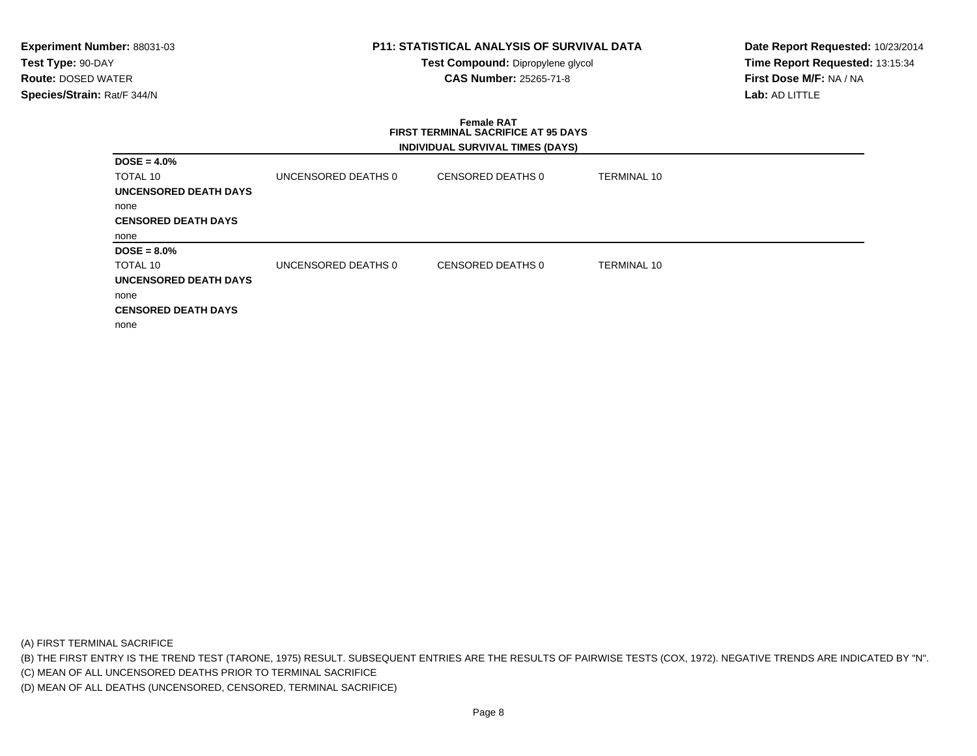# **P11: STATISTICAL ANALYSIS OF SURVIVAL DATA**

**Test Compound:** Dipropylene glycol **CAS Number:** 25265-71-8

**Date Report Requested:** 10/23/2014**Time Report Requested:** 13:15:34**First Dose M/F:** NA / NA**Lab:** AD LITTLE

### **Female RAT FIRST TERMINAL SACRIFICE AT 95 DAYSINDIVIDUAL SURVIVAL TIMES (DAYS)**

| $DOSE = 4.0%$                |                     |                   |                    |  |
|------------------------------|---------------------|-------------------|--------------------|--|
| TOTAL 10                     | UNCENSORED DEATHS 0 | CENSORED DEATHS 0 | <b>TERMINAL 10</b> |  |
| <b>UNCENSORED DEATH DAYS</b> |                     |                   |                    |  |
| none                         |                     |                   |                    |  |
| <b>CENSORED DEATH DAYS</b>   |                     |                   |                    |  |
| none                         |                     |                   |                    |  |
| $DOSE = 8.0\%$               |                     |                   |                    |  |
| TOTAL 10                     | UNCENSORED DEATHS 0 | CENSORED DEATHS 0 | <b>TERMINAL 10</b> |  |
| UNCENSORED DEATH DAYS        |                     |                   |                    |  |
| none                         |                     |                   |                    |  |
| <b>CENSORED DEATH DAYS</b>   |                     |                   |                    |  |
| none                         |                     |                   |                    |  |

(A) FIRST TERMINAL SACRIFICE

(B) THE FIRST ENTRY IS THE TREND TEST (TARONE, 1975) RESULT. SUBSEQUENT ENTRIES ARE THE RESULTS OF PAIRWISE TESTS (COX, 1972). NEGATIVE TRENDS ARE INDICATED BY "N".

(C) MEAN OF ALL UNCENSORED DEATHS PRIOR TO TERMINAL SACRIFICE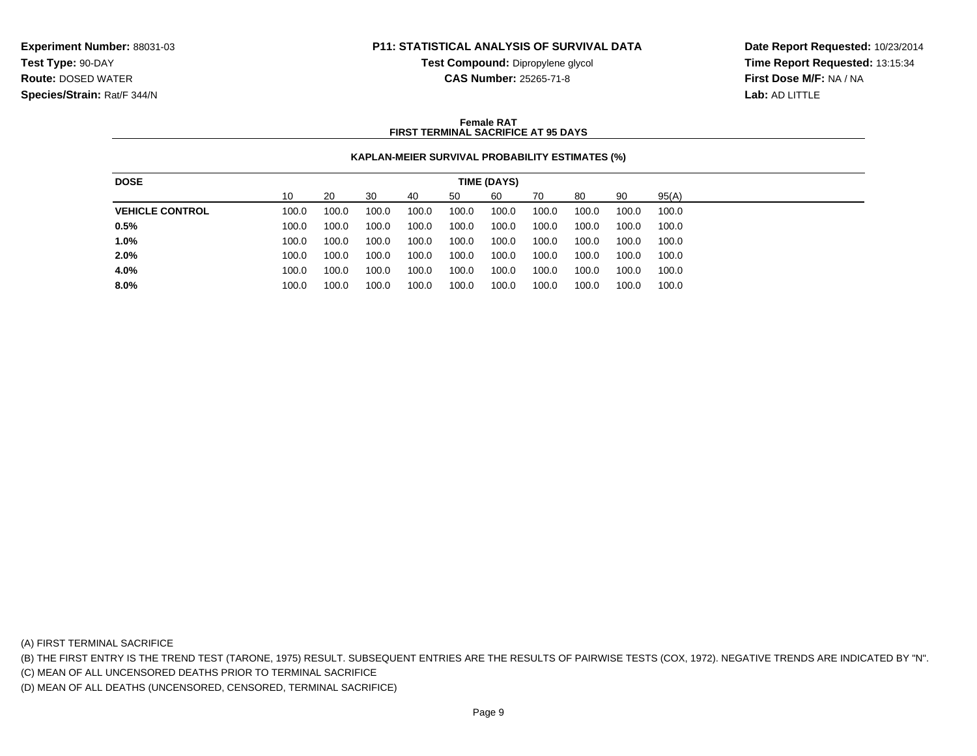### **P11: STATISTICAL ANALYSIS OF SURVIVAL DATA**

**Test Compound:** Dipropylene glycol **CAS Number:** 25265-71-8

**Date Report Requested:** 10/23/2014**Time Report Requested:** 13:15:34**First Dose M/F:** NA / NA**Lab:** AD LITTLE

#### **Female RATFIRST TERMINAL SACRIFICE AT 95 DAYS**

#### **KAPLAN-MEIER SURVIVAL PROBABILITY ESTIMATES (%)**

| <b>DOSE</b>            |       |       |       |       |       | TIME (DAYS) |       |       |       |       |
|------------------------|-------|-------|-------|-------|-------|-------------|-------|-------|-------|-------|
|                        | 10    | 20    | 30    | 40    | 50    | 60          | 70    | 80    | 90    | 95(A) |
| <b>VEHICLE CONTROL</b> | 100.0 | 100.0 | 100.0 | 100.0 | 100.0 | 100.0       | 100.0 | 100.0 | 100.0 | 100.0 |
| 0.5%                   | 100.0 | 100.0 | 100.0 | 100.0 | 100.0 | 100.0       | 100.0 | 100.0 | 100.0 | 100.0 |
| 1.0%                   | 100.0 | 100.0 | 100.0 | 100.0 | 100.0 | 100.0       | 100.0 | 100.0 | 100.0 | 100.0 |
| 2.0%                   | 100.0 | 100.0 | 100.0 | 100.0 | 100.0 | 100.0       | 100.0 | 100.0 | 100.0 | 100.0 |
| 4.0%                   | 100.0 | 100.0 | 100.0 | 100.0 | 100.0 | 100.0       | 100.0 | 100.0 | 100.0 | 100.0 |
| 8.0%                   | 100.0 | 100.0 | 100.0 | 100.0 | 100.0 | 100.0       | 100.0 | 100.0 | 100.0 | 100.0 |
|                        |       |       |       |       |       |             |       |       |       |       |

(A) FIRST TERMINAL SACRIFICE

(B) THE FIRST ENTRY IS THE TREND TEST (TARONE, 1975) RESULT. SUBSEQUENT ENTRIES ARE THE RESULTS OF PAIRWISE TESTS (COX, 1972). NEGATIVE TRENDS ARE INDICATED BY "N".

(C) MEAN OF ALL UNCENSORED DEATHS PRIOR TO TERMINAL SACRIFICE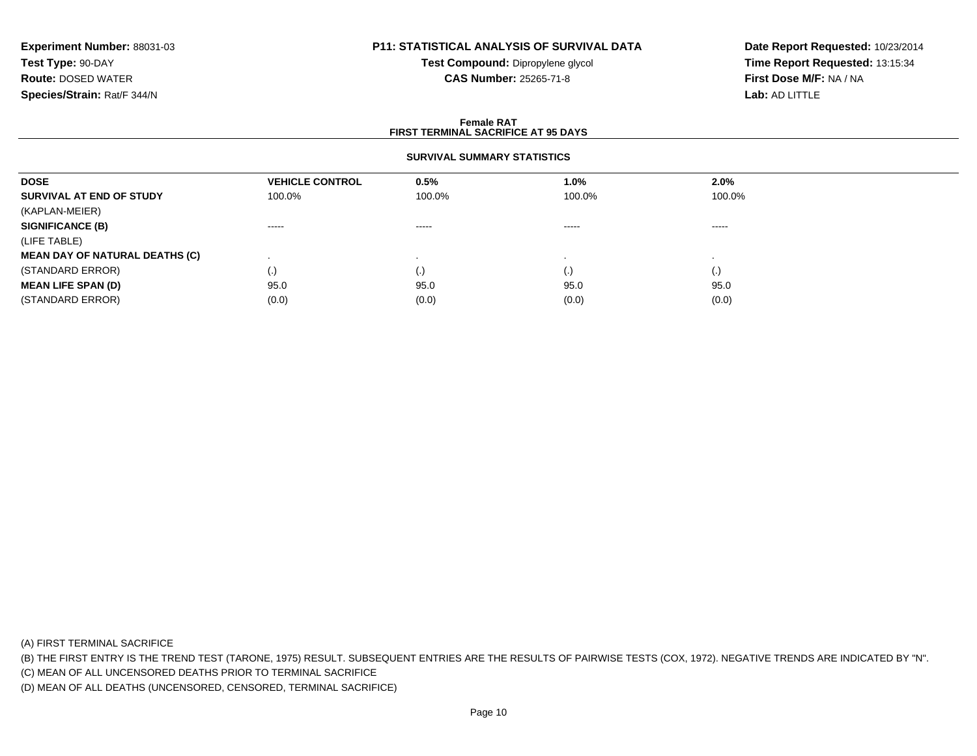# **P11: STATISTICAL ANALYSIS OF SURVIVAL DATA**

**Test Compound:** Dipropylene glycol **CAS Number:** 25265-71-8

**Date Report Requested:** 10/23/2014**Time Report Requested:** 13:15:34**First Dose M/F:** NA / NA**Lab:** AD LITTLE

#### **Female RAT FIRST TERMINAL SACRIFICE AT 95 DAYSSURVIVAL SUMMARY STATISTICSDOSEVEHICLE CONTROL 0.5%**<br>100.0% 100.0% **1.0% 2.0% SURVIVAL AT END OF STUDY** 100.0% 100.0% 100.0% 100.0% (KAPLAN-MEIER)**SIGNIFICANCE (B)** ----- ----- ----- ----- (LIFE TABLE) **MEAN DAY OF NATURAL DEATHS (C)** . . . . (STANDARD ERROR) (.) (.) (.) (.) **MEAN LIFE SPAN (D)** 95.00 95.0 95.0 95.0 95.0 95.0 (STANDARD ERROR) $(0.0)$   $(0.0)$   $(0.0)$   $(0.0)$   $(0.0)$   $(0.0)$   $(0.0)$   $(0.0)$

(A) FIRST TERMINAL SACRIFICE

(B) THE FIRST ENTRY IS THE TREND TEST (TARONE, 1975) RESULT. SUBSEQUENT ENTRIES ARE THE RESULTS OF PAIRWISE TESTS (COX, 1972). NEGATIVE TRENDS ARE INDICATED BY "N".

(C) MEAN OF ALL UNCENSORED DEATHS PRIOR TO TERMINAL SACRIFICE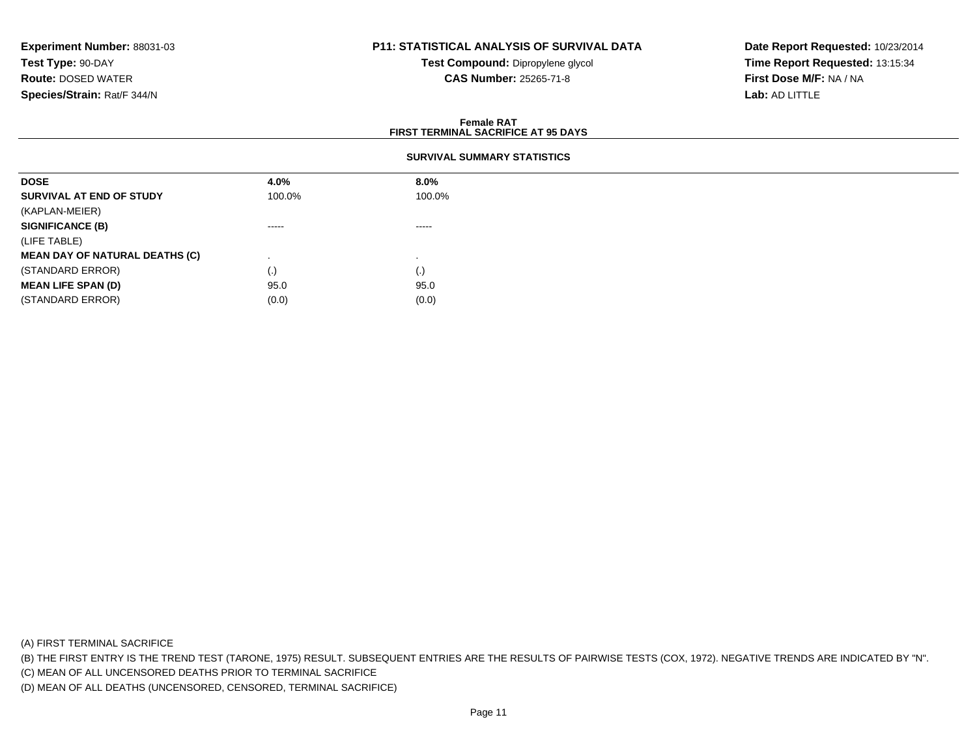# **P11: STATISTICAL ANALYSIS OF SURVIVAL DATA**

**Test Compound:** Dipropylene glycol **CAS Number:** 25265-71-8

**Date Report Requested:** 10/23/2014**Time Report Requested:** 13:15:34**First Dose M/F:** NA / NA**Lab:** AD LITTLE

#### **Female RAT FIRST TERMINAL SACRIFICE AT 95 DAYSSURVIVAL SUMMARY STATISTICSDOSE 4.0% 8.0% SURVIVAL AT END OF STUDY** 100.0%%  $100.0\%$ (KAPLAN-MEIER)**SIGNIFICANCE (B)** ----- ----- (LIFE TABLE) **MEAN DAY OF NATURAL DEATHS (C)** . . (STANDARD ERROR) $\qquad \qquad (\text{.})$  (0) **MEAN LIFE SPAN (D)** 95.0 95.0 (STANDARD ERROR)

(A) FIRST TERMINAL SACRIFICE

(B) THE FIRST ENTRY IS THE TREND TEST (TARONE, 1975) RESULT. SUBSEQUENT ENTRIES ARE THE RESULTS OF PAIRWISE TESTS (COX, 1972). NEGATIVE TRENDS ARE INDICATED BY "N".

(C) MEAN OF ALL UNCENSORED DEATHS PRIOR TO TERMINAL SACRIFICE

(D) MEAN OF ALL DEATHS (UNCENSORED, CENSORED, TERMINAL SACRIFICE)

 $(0.0)$  (0.0)